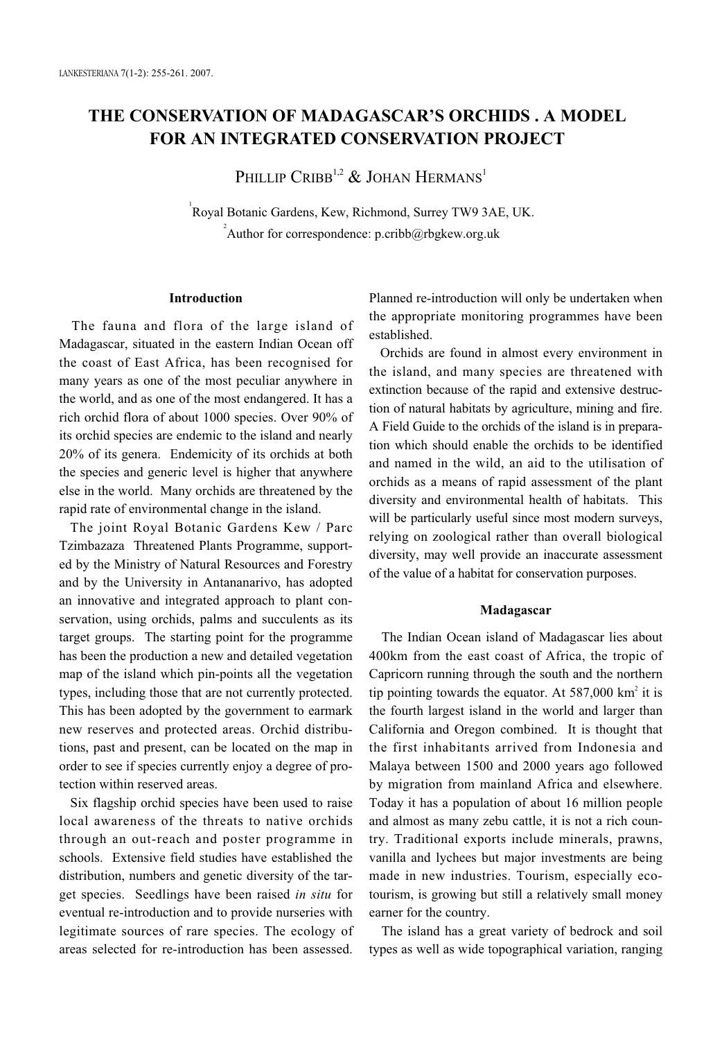# **THE CONSERVATION OF MADAGASCAR'S ORCHIDS . A MODEL FOR AN INTEGRATED CONSERVATION PROJECT**

PHILLIP CRIBB<sup>1,2</sup> & JOHAN HERMANS<sup>1</sup>

1 Royal Botanic Gardens, Kew, Richmond, Surrey TW9 3AE, UK. <sup>2</sup> Author for correspondence: p.cribb@rbgkew.org.uk

## **Introduction**

The fauna and flora of the large island of Madagascar, situated in the eastern Indian Ocean off the coast of East Africa, has been recognised for many years as one of the most peculiar anywhere in the world, and as one of the most endangered. It has a rich orchid flora of about 1000 species. Over 90% of its orchid species are endemic to the island and nearly 20% of its genera. Endemicity of its orchids at both the species and generic level is higher that anywhere else in the world. Many orchids are threatened by the rapid rate of environmental change in the island.

The joint Royal Botanic Gardens Kew / Parc Tzimbazaza Threatened Plants Programme, supported by the Ministry of Natural Resources and Forestry and by the University in Antananarivo, has adopted an innovative and integrated approach to plant conservation, using orchids, palms and succulents as its target groups. The starting point for the programme has been the production a new and detailed vegetation map of the island which pin-points all the vegetation types, including those that are not currently protected. This has been adopted by the government to earmark new reserves and protected areas. Orchid distributions, past and present, can be located on the map in order to see if species currently enjoy a degree of protection within reserved areas.

Six flagship orchid species have been used to raise local awareness of the threats to native orchids through an out-reach and poster programme in schools. Extensive field studies have established the distribution, numbers and genetic diversity of the target species. Seedlings have been raised *in situ* for eventual re-introduction and to provide nurseries with legitimate sources of rare species. The ecology of areas selected for re-introduction has been assessed.

Planned re-introduction will only be undertaken when the appropriate monitoring programmes have been established.

Orchids are found in almost every environment in the island, and many species are threatened with extinction because of the rapid and extensive destruction of natural habitats by agriculture, mining and fire. A Field Guide to the orchids of the island is in preparation which should enable the orchids to be identified and named in the wild, an aid to the utilisation of orchids as a means of rapid assessment of the plant diversity and environmental health of habitats. This will be particularly useful since most modern surveys, relying on zoological rather than overall biological diversity, may well provide an inaccurate assessment of the value of a habitat for conservation purposes.

#### **Madagascar**

The Indian Ocean island of Madagascar lies about 400km from the east coast of Africa, the tropic of Capricorn running through the south and the northern tip pointing towards the equator. At  $587,000$  km<sup>2</sup> it is the fourth largest island in the world and larger than California and Oregon combined. It is thought that the first inhabitants arrived from Indonesia and Malaya between 1500 and 2000 years ago followed by migration from mainland Africa and elsewhere. Today it has a population of about 16 million people and almost as many zebu cattle, it is not a rich country. Traditional exports include minerals, prawns, vanilla and lychees but major investments are being made in new industries. Tourism, especially ecotourism, is growing but still a relatively small money earner for the country.

The island has a great variety of bedrock and soil types as well as wide topographical variation, ranging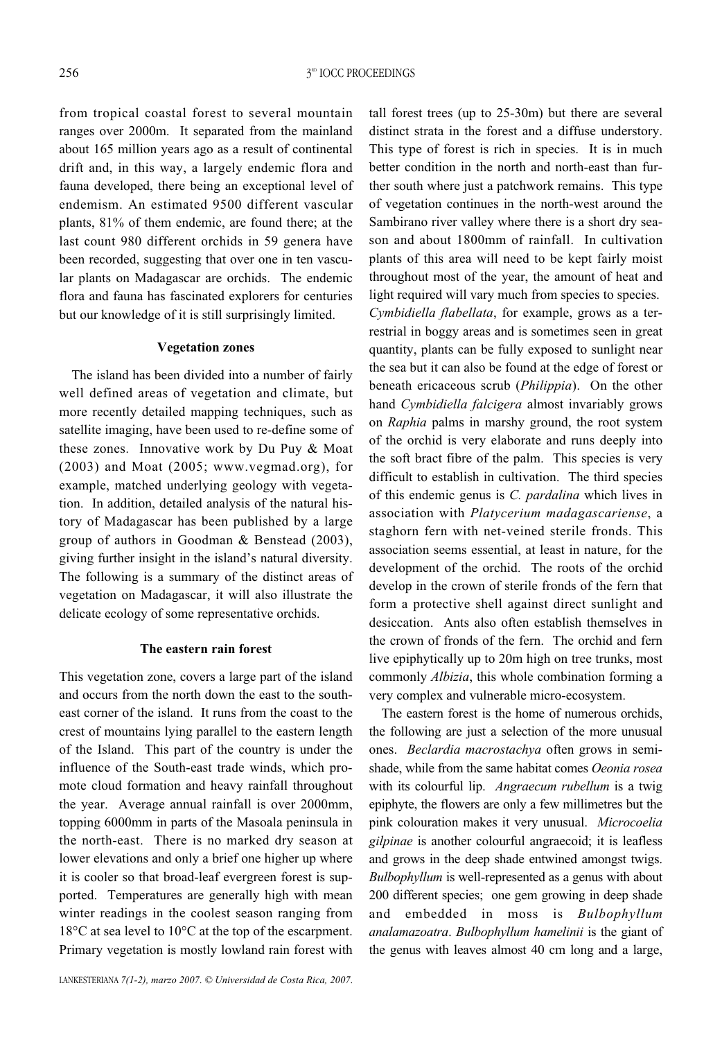from tropical coastal forest to several mountain ranges over 2000m. It separated from the mainland about 165 million years ago as a result of continental drift and, in this way, a largely endemic flora and fauna developed, there being an exceptional level of endemism. An estimated 9500 different vascular plants, 81% of them endemic, are found there; at the last count 980 different orchids in 59 genera have been recorded, suggesting that over one in ten vascular plants on Madagascar are orchids. The endemic flora and fauna has fascinated explorers for centuries but our knowledge of it is still surprisingly limited.

## **Vegetation zones**

The island has been divided into a number of fairly well defined areas of vegetation and climate, but more recently detailed mapping techniques, such as satellite imaging, have been used to re-define some of these zones. Innovative work by Du Puy & Moat (2003) and Moat (2005; www.vegmad.org), for example, matched underlying geology with vegetation. In addition, detailed analysis of the natural history of Madagascar has been published by a large group of authors in Goodman & Benstead (2003), giving further insight in the island's natural diversity. The following is a summary of the distinct areas of vegetation on Madagascar, it will also illustrate the delicate ecology of some representative orchids.

## **The eastern rain forest**

This vegetation zone, covers a large part of the island and occurs from the north down the east to the southeast corner of the island. It runs from the coast to the crest of mountains lying parallel to the eastern length of the Island. This part of the country is under the influence of the South-east trade winds, which promote cloud formation and heavy rainfall throughout the year. Average annual rainfall is over 2000mm, topping 6000mm in parts of the Masoala peninsula in the north-east. There is no marked dry season at lower elevations and only a brief one higher up where it is cooler so that broad-leaf evergreen forest is supported. Temperatures are generally high with mean winter readings in the coolest season ranging from 18°C at sea level to 10°C at the top of the escarpment. Primary vegetation is mostly lowland rain forest with tall forest trees (up to 25-30m) but there are several distinct strata in the forest and a diffuse understory. This type of forest is rich in species. It is in much better condition in the north and north-east than further south where just a patchwork remains. This type of vegetation continues in the north-west around the Sambirano river valley where there is a short dry season and about 1800mm of rainfall. In cultivation plants of this area will need to be kept fairly moist throughout most of the year, the amount of heat and light required will vary much from species to species. *Cymbidiella flabellata*, for example, grows as a ter-

restrial in boggy areas and is sometimes seen in great quantity, plants can be fully exposed to sunlight near the sea but it can also be found at the edge of forest or beneath ericaceous scrub (*Philippia*). On the other hand *Cymbidiella falcigera* almost invariably grows on *Raphia* palms in marshy ground, the root system of the orchid is very elaborate and runs deeply into the soft bract fibre of the palm. This species is very difficult to establish in cultivation. The third species of this endemic genus is *C. pardalina* which lives in association with *Platycerium madagascariense*, a staghorn fern with net-veined sterile fronds. This association seems essential, at least in nature, for the development of the orchid. The roots of the orchid develop in the crown of sterile fronds of the fern that form a protective shell against direct sunlight and desiccation. Ants also often establish themselves in the crown of fronds of the fern. The orchid and fern live epiphytically up to 20m high on tree trunks, most commonly *Albizia*, this whole combination forming a very complex and vulnerable micro-ecosystem.

The eastern forest is the home of numerous orchids, the following are just a selection of the more unusual ones. *Beclardia macrostachya* often grows in semishade, while from the same habitat comes *Oeonia rosea* with its colourful lip. *Angraecum rubellum* is a twig epiphyte, the flowers are only a few millimetres but the pink colouration makes it very unusual. *Microcoelia gilpinae* is another colourful angraecoid; it is leafless and grows in the deep shade entwined amongst twigs. *Bulbophyllum* is well-represented as a genus with about 200 different species; one gem growing in deep shade and embedded in moss is *Bulbophyllum analamazoatra*. *Bulbophyllum hamelinii* is the giant of the genus with leaves almost 40 cm long and a large,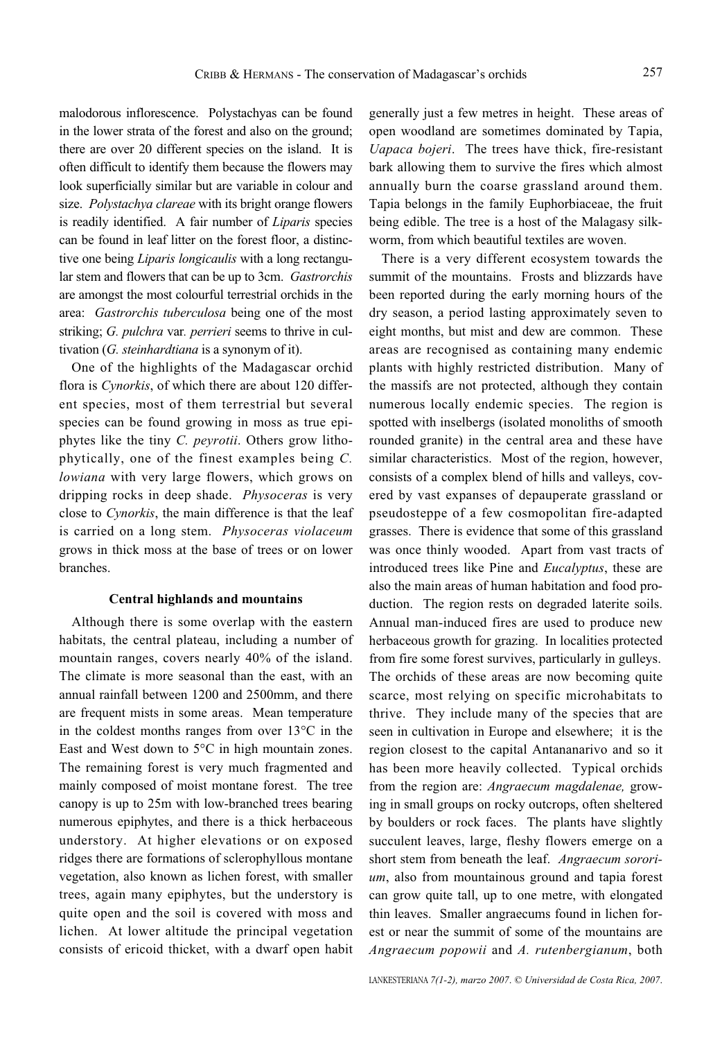malodorous inflorescence. Polystachyas can be found in the lower strata of the forest and also on the ground; there are over 20 different species on the island. It is often difficult to identify them because the flowers may look superficially similar but are variable in colour and size. *Polystachya clareae* with its bright orange flowers is readily identified. A fair number of *Liparis* species can be found in leaf litter on the forest floor, a distinctive one being *Liparis longicaulis* with a long rectangular stem and flowers that can be up to 3cm. *Gastrorchis* are amongst the most colourful terrestrial orchids in the area: *Gastrorchis tuberculosa* being one of the most striking; *G. pulchra* var*. perrieri* seems to thrive in cultivation (*G. steinhardtiana* is a synonym of it).

One of the highlights of the Madagascar orchid flora is *Cynorkis*, of which there are about 120 different species, most of them terrestrial but several species can be found growing in moss as true epiphytes like the tiny *C. peyrotii*. Others grow lithophytically, one of the finest examples being *C. lowiana* with very large flowers, which grows on dripping rocks in deep shade. *Physoceras* is very close to *Cynorkis*, the main difference is that the leaf is carried on a long stem. *Physoceras violaceum* grows in thick moss at the base of trees or on lower branches.

#### **Central highlands and mountains**

Although there is some overlap with the eastern habitats, the central plateau, including a number of mountain ranges, covers nearly 40% of the island. The climate is more seasonal than the east, with an annual rainfall between 1200 and 2500mm, and there are frequent mists in some areas. Mean temperature in the coldest months ranges from over 13°C in the East and West down to 5°C in high mountain zones. The remaining forest is very much fragmented and mainly composed of moist montane forest. The tree canopy is up to 25m with low-branched trees bearing numerous epiphytes, and there is a thick herbaceous understory. At higher elevations or on exposed ridges there are formations of sclerophyllous montane vegetation, also known as lichen forest, with smaller trees, again many epiphytes, but the understory is quite open and the soil is covered with moss and lichen. At lower altitude the principal vegetation consists of ericoid thicket, with a dwarf open habit

generally just a few metres in height. These areas of open woodland are sometimes dominated by Tapia, *Uapaca bojeri*. The trees have thick, fire-resistant bark allowing them to survive the fires which almost annually burn the coarse grassland around them. Tapia belongs in the family Euphorbiaceae, the fruit being edible. The tree is a host of the Malagasy silkworm, from which beautiful textiles are woven.

There is a very different ecosystem towards the summit of the mountains. Frosts and blizzards have been reported during the early morning hours of the dry season, a period lasting approximately seven to eight months, but mist and dew are common. These areas are recognised as containing many endemic plants with highly restricted distribution. Many of the massifs are not protected, although they contain numerous locally endemic species. The region is spotted with inselbergs (isolated monoliths of smooth rounded granite) in the central area and these have similar characteristics. Most of the region, however, consists of a complex blend of hills and valleys, covered by vast expanses of depauperate grassland or pseudosteppe of a few cosmopolitan fire-adapted grasses. There is evidence that some of this grassland was once thinly wooded. Apart from vast tracts of introduced trees like Pine and *Eucalyptus*, these are also the main areas of human habitation and food production. The region rests on degraded laterite soils. Annual man-induced fires are used to produce new herbaceous growth for grazing. In localities protected from fire some forest survives, particularly in gulleys. The orchids of these areas are now becoming quite scarce, most relying on specific microhabitats to thrive. They include many of the species that are seen in cultivation in Europe and elsewhere; it is the region closest to the capital Antananarivo and so it has been more heavily collected. Typical orchids from the region are: *Angraecum magdalenae,* growing in small groups on rocky outcrops, often sheltered by boulders or rock faces. The plants have slightly succulent leaves, large, fleshy flowers emerge on a short stem from beneath the leaf. *Angraecum sororium*, also from mountainous ground and tapia forest can grow quite tall, up to one metre, with elongated thin leaves. Smaller angraecums found in lichen forest or near the summit of some of the mountains are *Angraecum popowii* and *A. rutenbergianum*, both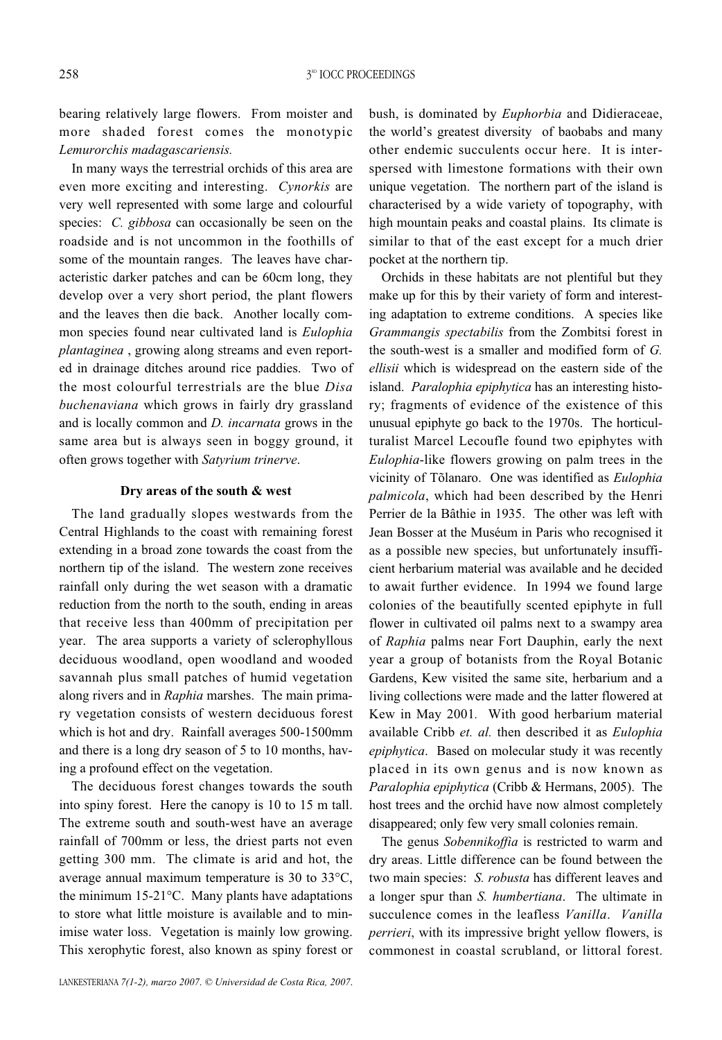bearing relatively large flowers. From moister and more shaded forest comes the monotypic *Lemurorchis madagascariensis.* 

In many ways the terrestrial orchids of this area are even more exciting and interesting. *Cynorkis* are very well represented with some large and colourful species: *C. gibbosa* can occasionally be seen on the roadside and is not uncommon in the foothills of some of the mountain ranges. The leaves have characteristic darker patches and can be 60cm long, they develop over a very short period, the plant flowers and the leaves then die back. Another locally common species found near cultivated land is *Eulophia plantaginea* , growing along streams and even reported in drainage ditches around rice paddies. Two of the most colourful terrestrials are the blue *Disa buchenaviana* which grows in fairly dry grassland and is locally common and *D. incarnata* grows in the same area but is always seen in boggy ground, it often grows together with *Satyrium trinerve*.

#### **Dry areas of the south & west**

The land gradually slopes westwards from the Central Highlands to the coast with remaining forest extending in a broad zone towards the coast from the northern tip of the island. The western zone receives rainfall only during the wet season with a dramatic reduction from the north to the south, ending in areas that receive less than 400mm of precipitation per year. The area supports a variety of sclerophyllous deciduous woodland, open woodland and wooded savannah plus small patches of humid vegetation along rivers and in *Raphia* marshes. The main primary vegetation consists of western deciduous forest which is hot and dry. Rainfall averages 500-1500mm and there is a long dry season of 5 to 10 months, having a profound effect on the vegetation.

The deciduous forest changes towards the south into spiny forest. Here the canopy is 10 to 15 m tall. The extreme south and south-west have an average rainfall of 700mm or less, the driest parts not even getting 300 mm. The climate is arid and hot, the average annual maximum temperature is 30 to 33°C, the minimum 15-21°C. Many plants have adaptations to store what little moisture is available and to minimise water loss. Vegetation is mainly low growing. This xerophytic forest, also known as spiny forest or bush, is dominated by *Euphorbia* and Didieraceae, the world's greatest diversity of baobabs and many other endemic succulents occur here. It is interspersed with limestone formations with their own unique vegetation. The northern part of the island is characterised by a wide variety of topography, with high mountain peaks and coastal plains. Its climate is similar to that of the east except for a much drier pocket at the northern tip.

Orchids in these habitats are not plentiful but they make up for this by their variety of form and interesting adaptation to extreme conditions. A species like *Grammangis spectabilis* from the Zombitsi forest in the south-west is a smaller and modified form of *G. ellisii* which is widespread on the eastern side of the island. *Paralophia epiphytica* has an interesting history; fragments of evidence of the existence of this unusual epiphyte go back to the 1970s. The horticulturalist Marcel Lecoufle found two epiphytes with *Eulophia*-like flowers growing on palm trees in the vicinity of Tõlanaro. One was identified as *Eulophia palmicola*, which had been described by the Henri Perrier de la Bâthie in 1935. The other was left with Jean Bosser at the Muséum in Paris who recognised it as a possible new species, but unfortunately insufficient herbarium material was available and he decided to await further evidence. In 1994 we found large colonies of the beautifully scented epiphyte in full flower in cultivated oil palms next to a swampy area of *Raphia* palms near Fort Dauphin, early the next year a group of botanists from the Royal Botanic Gardens, Kew visited the same site, herbarium and a living collections were made and the latter flowered at Kew in May 2001*.* With good herbarium material available Cribb *et. al.* then described it as *Eulophia epiphytica*. Based on molecular study it was recently placed in its own genus and is now known as *Paralophia epiphytica* (Cribb & Hermans, 2005). The host trees and the orchid have now almost completely disappeared; only few very small colonies remain.

The genus *Sobennikoffia* is restricted to warm and dry areas. Little difference can be found between the two main species: *S. robusta* has different leaves and a longer spur than *S. humbertiana*. The ultimate in succulence comes in the leafless *Vanilla*. *Vanilla perrieri*, with its impressive bright yellow flowers, is commonest in coastal scrubland, or littoral forest.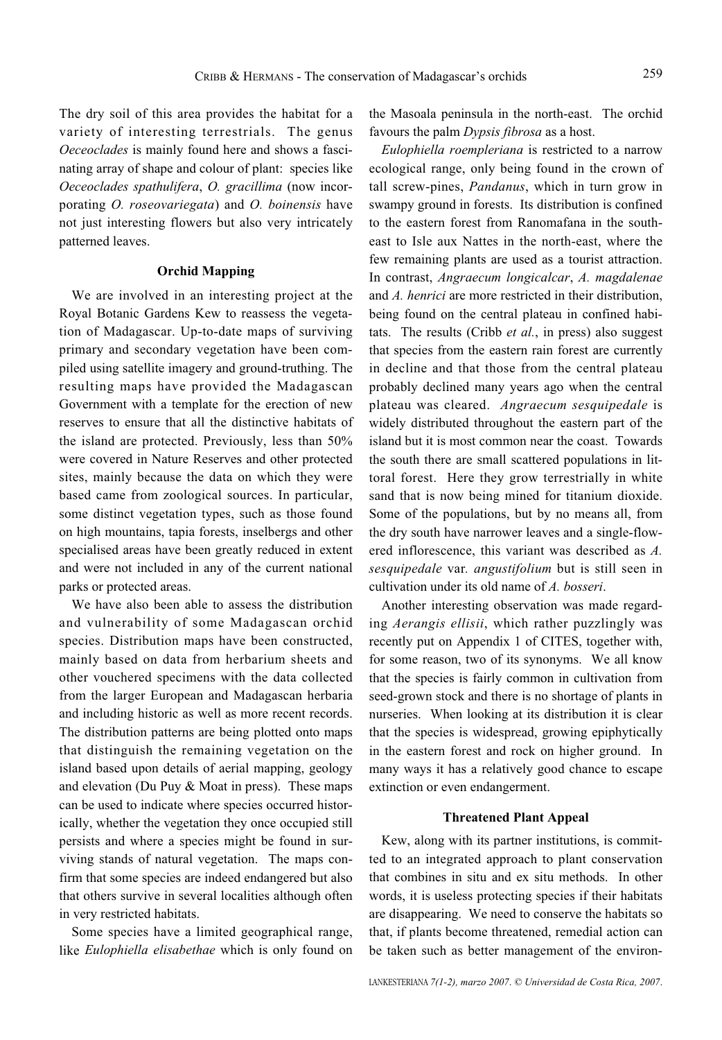The dry soil of this area provides the habitat for a variety of interesting terrestrials. The genus *Oeceoclades* is mainly found here and shows a fascinating array of shape and colour of plant: species like *Oeceoclades spathulifera*, *O. gracillima* (now incorporating *O. roseovariegata*) and *O. boinensis* have not just interesting flowers but also very intricately patterned leaves.

### **Orchid Mapping**

We are involved in an interesting project at the Royal Botanic Gardens Kew to reassess the vegetation of Madagascar. Up-to-date maps of surviving primary and secondary vegetation have been compiled using satellite imagery and ground-truthing. The resulting maps have provided the Madagascan Government with a template for the erection of new reserves to ensure that all the distinctive habitats of the island are protected. Previously, less than 50% were covered in Nature Reserves and other protected sites, mainly because the data on which they were based came from zoological sources. In particular, some distinct vegetation types, such as those found on high mountains, tapia forests, inselbergs and other specialised areas have been greatly reduced in extent and were not included in any of the current national parks or protected areas.

We have also been able to assess the distribution and vulnerability of some Madagascan orchid species. Distribution maps have been constructed, mainly based on data from herbarium sheets and other vouchered specimens with the data collected from the larger European and Madagascan herbaria and including historic as well as more recent records. The distribution patterns are being plotted onto maps that distinguish the remaining vegetation on the island based upon details of aerial mapping, geology and elevation (Du Puy & Moat in press). These maps can be used to indicate where species occurred historically, whether the vegetation they once occupied still persists and where a species might be found in surviving stands of natural vegetation. The maps confirm that some species are indeed endangered but also that others survive in several localities although often in very restricted habitats.

Some species have a limited geographical range, like *Eulophiella elisabethae* which is only found on the Masoala peninsula in the north-east. The orchid favours the palm *Dypsis fibrosa* as a host.

*Eulophiella roempleriana* is restricted to a narrow ecological range, only being found in the crown of tall screw-pines, *Pandanus*, which in turn grow in swampy ground in forests. Its distribution is confined to the eastern forest from Ranomafana in the southeast to Isle aux Nattes in the north-east, where the few remaining plants are used as a tourist attraction. In contrast, *Angraecum longicalcar*, *A. magdalenae* and *A. henrici* are more restricted in their distribution, being found on the central plateau in confined habitats. The results (Cribb *et al.*, in press) also suggest that species from the eastern rain forest are currently in decline and that those from the central plateau probably declined many years ago when the central plateau was cleared. *Angraecum sesquipedale* is widely distributed throughout the eastern part of the island but it is most common near the coast. Towards the south there are small scattered populations in littoral forest. Here they grow terrestrially in white sand that is now being mined for titanium dioxide. Some of the populations, but by no means all, from the dry south have narrower leaves and a single-flowered inflorescence, this variant was described as *A. sesquipedale* var*. angustifolium* but is still seen in cultivation under its old name of *A. bosseri*.

Another interesting observation was made regarding *Aerangis ellisii*, which rather puzzlingly was recently put on Appendix 1 of CITES, together with, for some reason, two of its synonyms. We all know that the species is fairly common in cultivation from seed-grown stock and there is no shortage of plants in nurseries. When looking at its distribution it is clear that the species is widespread, growing epiphytically in the eastern forest and rock on higher ground. In many ways it has a relatively good chance to escape extinction or even endangerment.

#### **Threatened Plant Appeal**

Kew, along with its partner institutions, is committed to an integrated approach to plant conservation that combines in situ and ex situ methods. In other words, it is useless protecting species if their habitats are disappearing. We need to conserve the habitats so that, if plants become threatened, remedial action can be taken such as better management of the environ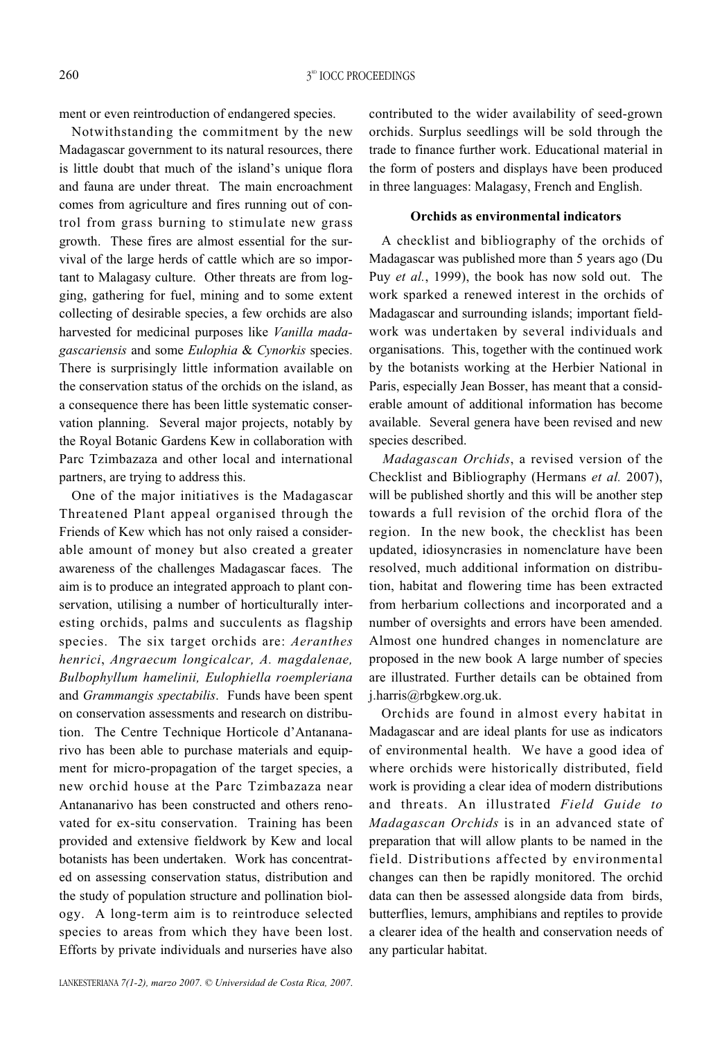ment or even reintroduction of endangered species.

Notwithstanding the commitment by the new Madagascar government to its natural resources, there is little doubt that much of the island's unique flora and fauna are under threat. The main encroachment comes from agriculture and fires running out of control from grass burning to stimulate new grass growth. These fires are almost essential for the survival of the large herds of cattle which are so important to Malagasy culture. Other threats are from logging, gathering for fuel, mining and to some extent collecting of desirable species, a few orchids are also harvested for medicinal purposes like *Vanilla madagascariensis* and some *Eulophia* & *Cynorkis* species. There is surprisingly little information available on the conservation status of the orchids on the island, as a consequence there has been little systematic conservation planning. Several major projects, notably by the Royal Botanic Gardens Kew in collaboration with Parc Tzimbazaza and other local and international partners, are trying to address this.

One of the major initiatives is the Madagascar Threatened Plant appeal organised through the Friends of Kew which has not only raised a considerable amount of money but also created a greater awareness of the challenges Madagascar faces. The aim is to produce an integrated approach to plant conservation, utilising a number of horticulturally interesting orchids, palms and succulents as flagship species. The six target orchids are: *Aeranthes henrici*, *Angraecum longicalcar, A. magdalenae, Bulbophyllum hamelinii, Eulophiella roempleriana* and *Grammangis spectabilis*. Funds have been spent on conservation assessments and research on distribution. The Centre Technique Horticole d'Antananarivo has been able to purchase materials and equipment for micro-propagation of the target species, a new orchid house at the Parc Tzimbazaza near Antananarivo has been constructed and others renovated for ex-situ conservation. Training has been provided and extensive fieldwork by Kew and local botanists has been undertaken. Work has concentrated on assessing conservation status, distribution and the study of population structure and pollination biology. A long-term aim is to reintroduce selected species to areas from which they have been lost. Efforts by private individuals and nurseries have also

LANKESTERIANA *7(1-2), marzo 2007*. *© Universidad de Costa Rica, 2007*.

contributed to the wider availability of seed-grown orchids. Surplus seedlings will be sold through the trade to finance further work. Educational material in the form of posters and displays have been produced in three languages: Malagasy, French and English.

## **Orchids as environmental indicators**

A checklist and bibliography of the orchids of Madagascar was published more than 5 years ago (Du Puy *et al.*, 1999), the book has now sold out. The work sparked a renewed interest in the orchids of Madagascar and surrounding islands; important fieldwork was undertaken by several individuals and organisations. This, together with the continued work by the botanists working at the Herbier National in Paris, especially Jean Bosser, has meant that a considerable amount of additional information has become available. Several genera have been revised and new species described.

*Madagascan Orchids*, a revised version of the Checklist and Bibliography (Hermans *et al.* 2007), will be published shortly and this will be another step towards a full revision of the orchid flora of the region. In the new book, the checklist has been updated, idiosyncrasies in nomenclature have been resolved, much additional information on distribution, habitat and flowering time has been extracted from herbarium collections and incorporated and a number of oversights and errors have been amended. Almost one hundred changes in nomenclature are proposed in the new book A large number of species are illustrated. Further details can be obtained from j.harris@rbgkew.org.uk.

Orchids are found in almost every habitat in Madagascar and are ideal plants for use as indicators of environmental health. We have a good idea of where orchids were historically distributed, field work is providing a clear idea of modern distributions and threats. An illustrated *Field Guide to Madagascan Orchids* is in an advanced state of preparation that will allow plants to be named in the field. Distributions affected by environmental changes can then be rapidly monitored. The orchid data can then be assessed alongside data from birds, butterflies, lemurs, amphibians and reptiles to provide a clearer idea of the health and conservation needs of any particular habitat.